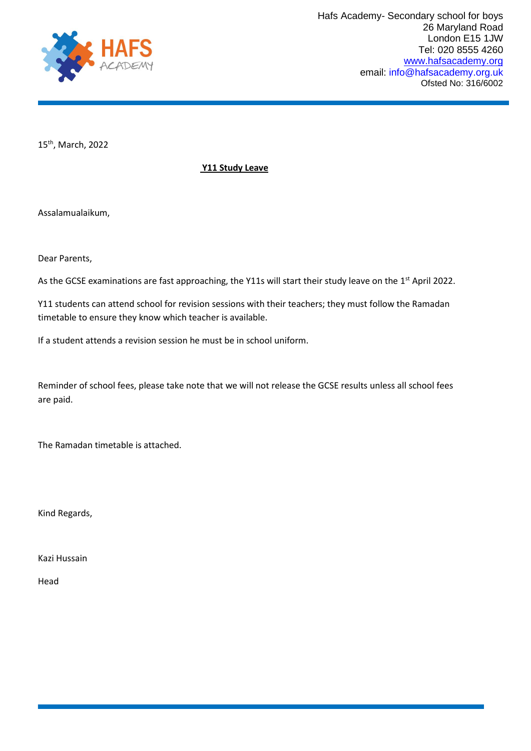

15th, March, 2022

**Y11 Study Leave**

Assalamualaikum,

Dear Parents,

As the GCSE examinations are fast approaching, the Y11s will start their study leave on the 1st April 2022.

Y11 students can attend school for revision sessions with their teachers; they must follow the Ramadan timetable to ensure they know which teacher is available.

If a student attends a revision session he must be in school uniform.

Reminder of school fees, please take note that we will not release the GCSE results unless all school fees are paid.

The Ramadan timetable is attached.

Kind Regards,

Kazi Hussain

Head